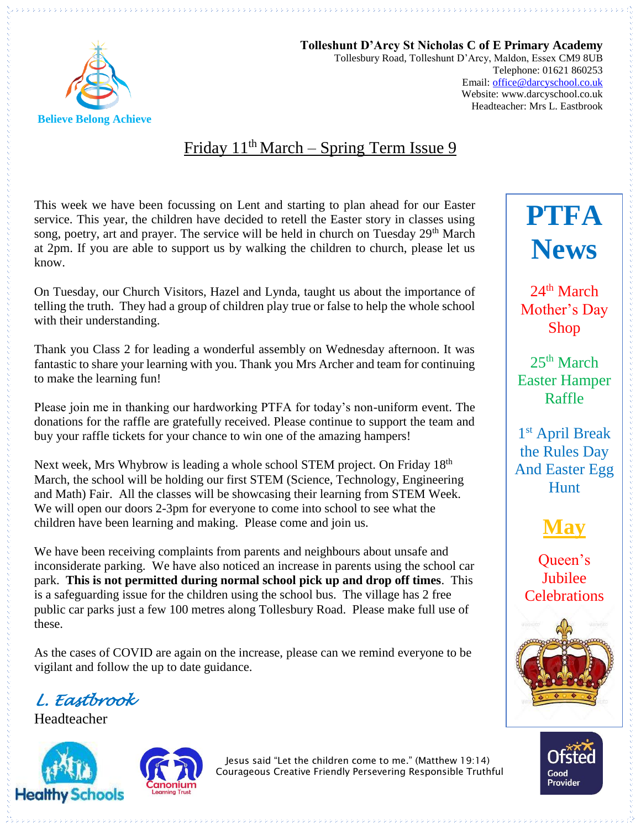

**Tolleshunt D'Arcy St Nicholas C of E Primary Academy** Tollesbury Road, Tolleshunt D'Arcy, Maldon, Essex CM9 8UB Telephone: 01621 860253 Email[: office@darcyschool.co.uk](mailto:office@darcyschool.co.uk) Website: www.darcyschool.co.uk Headteacher: Mrs L. Eastbrook

#### Friday  $11<sup>th</sup> March - Spring Term Issue 9$

This week we have been focussing on Lent and starting to plan ahead for our Easter service. This year, the children have decided to retell the Easter story in classes using song, poetry, art and prayer. The service will be held in church on Tuesday  $29<sup>th</sup>$  March at 2pm. If you are able to support us by walking the children to church, please let us know.

On Tuesday, our Church Visitors, Hazel and Lynda, taught us about the importance of telling the truth. They had a group of children play true or false to help the whole school with their understanding.

Thank you Class 2 for leading a wonderful assembly on Wednesday afternoon. It was fantastic to share your learning with you. Thank you Mrs Archer and team for continuing to make the learning fun!

Please join me in thanking our hardworking PTFA for today's non-uniform event. The donations for the raffle are gratefully received. Please continue to support the team and buy your raffle tickets for your chance to win one of the amazing hampers!

Next week, Mrs Whybrow is leading a whole school STEM project. On Friday 18<sup>th</sup> March, the school will be holding our first STEM (Science, Technology, Engineering and Math) Fair. All the classes will be showcasing their learning from STEM Week. We will open our doors 2-3pm for everyone to come into school to see what the children have been learning and making. Please come and join us.

We have been receiving complaints from parents and neighbours about unsafe and inconsiderate parking. We have also noticed an increase in parents using the school car park. **This is not permitted during normal school pick up and drop off times**. This is a safeguarding issue for the children using the school bus. The village has 2 free public car parks just a few 100 metres along Tollesbury Road. Please make full use of these.

As the cases of COVID are again on the increase, please can we remind everyone to be vigilant and follow the up to date guidance.

*L. Eastbrook* 

Headteacher





Jesus said "Let the children come to me." (Matthew 19:14) Courageous Creative Friendly Persevering Responsible Truthful

# **PTFA News**

 $24<sup>th</sup>$  March Mother's Day Shop

25th March Easter Hamper Raffle

1 st April Break the Rules Day And Easter Egg **Hunt** 



Queen's Jubilee **Celebrations**